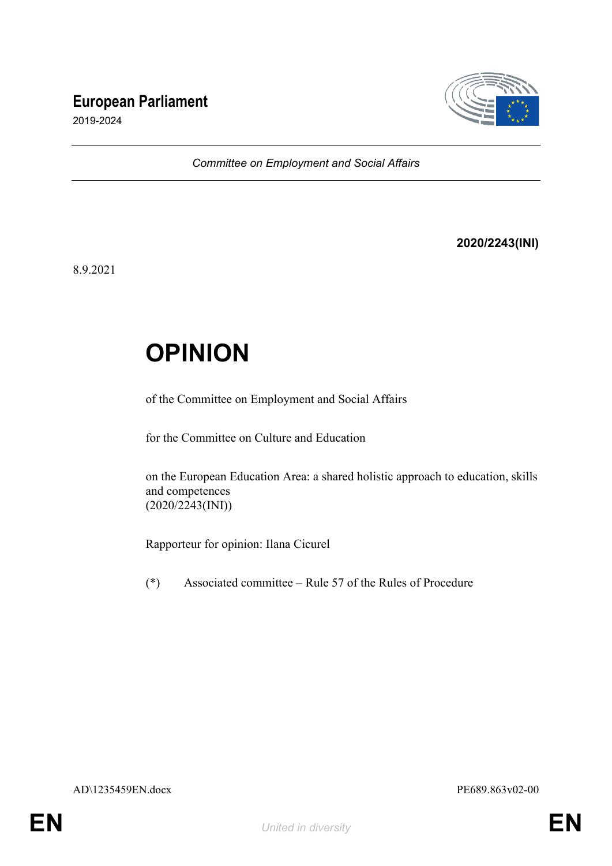## **European Parliament**



2019-2024

*Committee on Employment and Social Affairs*

#### **2020/2243(INI)**

8.9.2021

# **OPINION**

of the Committee on Employment and Social Affairs

for the Committee on Culture and Education

on the European Education Area: a shared holistic approach to education, skills and competences (2020/2243(INI))

Rapporteur for opinion: Ilana Cicurel

(\*) Associated committee – Rule 57 of the Rules of Procedure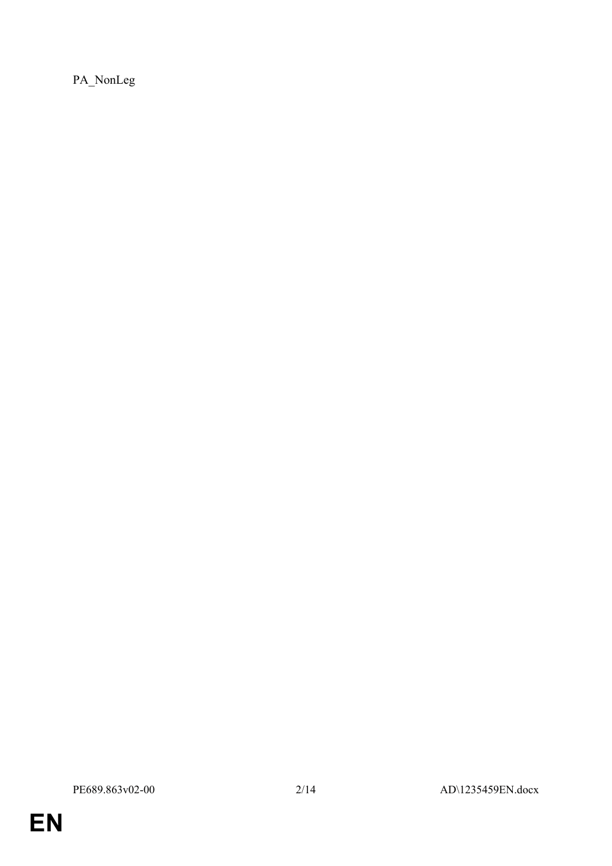PA\_NonLeg

**EN**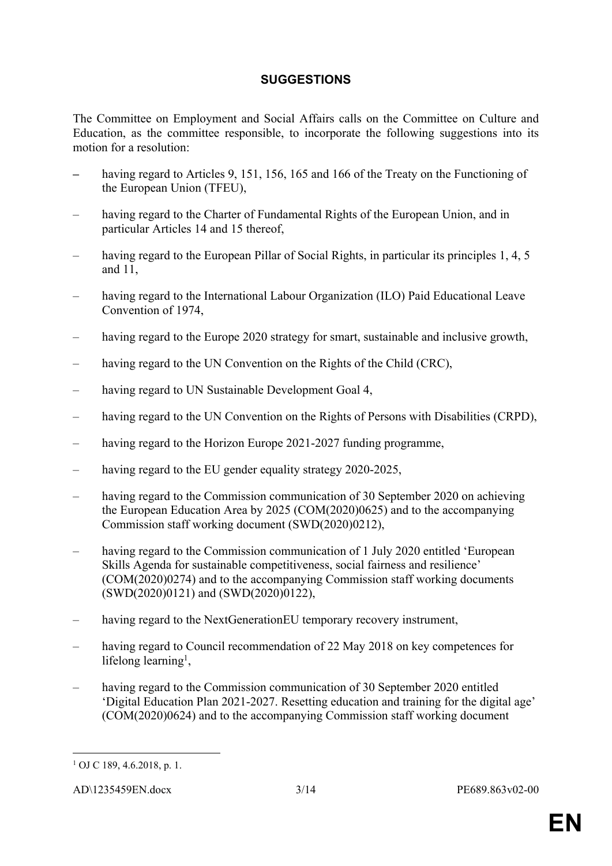#### **SUGGESTIONS**

The Committee on Employment and Social Affairs calls on the Committee on Culture and Education, as the committee responsible, to incorporate the following suggestions into its motion for a resolution:

- *–* having regard to Articles 9, 151, 156, 165 and 166 of the Treaty on the Functioning of the European Union (TFEU),
- having regard to the Charter of Fundamental Rights of the European Union, and in particular Articles 14 and 15 thereof,
- having regard to the European Pillar of Social Rights, in particular its principles 1, 4, 5 and 11,
- having regard to the International Labour Organization (ILO) Paid Educational Leave Convention of 1974,
- having regard to the Europe 2020 strategy for smart, sustainable and inclusive growth,
- having regard to the UN Convention on the Rights of the Child (CRC),
- having regard to UN Sustainable Development Goal 4,
- having regard to the UN Convention on the Rights of Persons with Disabilities (CRPD),
- having regard to the Horizon Europe 2021-2027 funding programme,
- having regard to the EU gender equality strategy 2020-2025,
- having regard to the Commission communication of 30 September 2020 on achieving the European Education Area by 2025 (COM(2020)0625) and to the accompanying Commission staff working document (SWD(2020)0212),
- having regard to the Commission communication of 1 July 2020 entitled 'European Skills Agenda for sustainable competitiveness, social fairness and resilience' (COM(2020)0274) and to the accompanying Commission staff working documents (SWD(2020)0121) and (SWD(2020)0122),
- having regard to the NextGenerationEU temporary recovery instrument,
- having regard to Council recommendation of 22 May 2018 on key competences for lifelong learning<sup>1</sup>,
- having regard to the Commission communication of 30 September 2020 entitled 'Digital Education Plan 2021-2027. Resetting education and training for the digital age' (COM(2020)0624) and to the accompanying Commission staff working document

<sup>1</sup> OJ C 189, 4.6.2018, p. 1.

AD\1235459EN.docx 3/14 PE689.863v02-00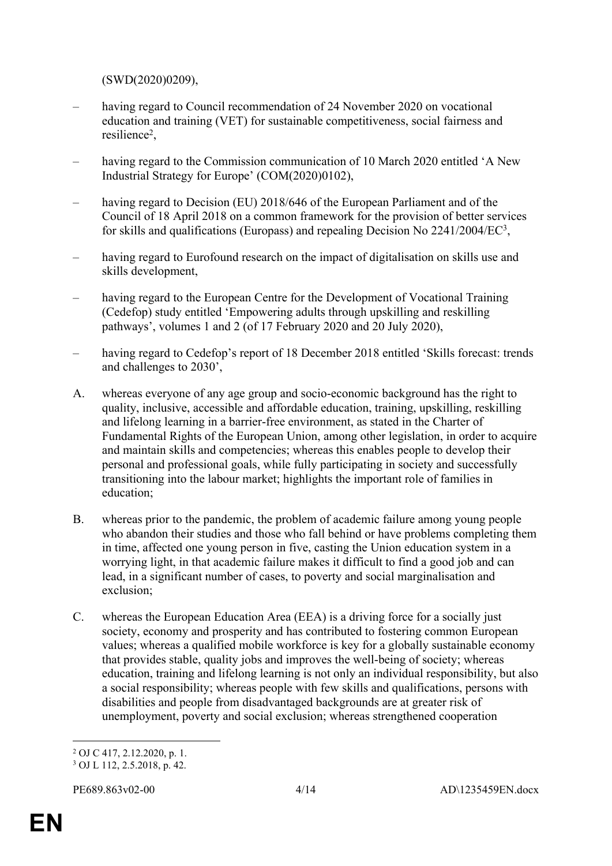(SWD(2020)0209),

- having regard to Council recommendation of 24 November 2020 on vocational education and training (VET) for sustainable competitiveness, social fairness and resilience<sup>2</sup> ,
- having regard to the Commission communication of 10 March 2020 entitled 'A New Industrial Strategy for Europe' (COM(2020)0102),
- having regard to Decision (EU) 2018/646 of the European Parliament and of the Council of 18 April 2018 on a common framework for the provision of better services for skills and qualifications (Europass) and repealing Decision No 2241/2004/EC<sup>3</sup>,
- having regard to Eurofound research on the impact of digitalisation on skills use and skills development,
- having regard to the European Centre for the Development of Vocational Training (Cedefop) study entitled 'Empowering adults through upskilling and reskilling pathways', volumes 1 and 2 (of 17 February 2020 and 20 July 2020),
- having regard to Cedefop's report of 18 December 2018 entitled 'Skills forecast: trends and challenges to 2030',
- A. whereas everyone of any age group and socio-economic background has the right to quality, inclusive, accessible and affordable education, training, upskilling, reskilling and lifelong learning in a barrier-free environment, as stated in the Charter of Fundamental Rights of the European Union, among other legislation, in order to acquire and maintain skills and competencies; whereas this enables people to develop their personal and professional goals, while fully participating in society and successfully transitioning into the labour market; highlights the important role of families in education;
- B. whereas prior to the pandemic, the problem of academic failure among young people who abandon their studies and those who fall behind or have problems completing them in time, affected one young person in five, casting the Union education system in a worrying light, in that academic failure makes it difficult to find a good job and can lead, in a significant number of cases, to poverty and social marginalisation and exclusion;
- C. whereas the European Education Area (EEA) is a driving force for a socially just society, economy and prosperity and has contributed to fostering common European values; whereas a qualified mobile workforce is key for a globally sustainable economy that provides stable, quality jobs and improves the well-being of society; whereas education, training and lifelong learning is not only an individual responsibility, but also a social responsibility; whereas people with few skills and qualifications, persons with disabilities and people from disadvantaged backgrounds are at greater risk of unemployment, poverty and social exclusion; whereas strengthened cooperation

<sup>2</sup> OJ C 417, 2.12.2020, p. 1.

<sup>3</sup> OJ L 112, 2.5.2018, p. 42.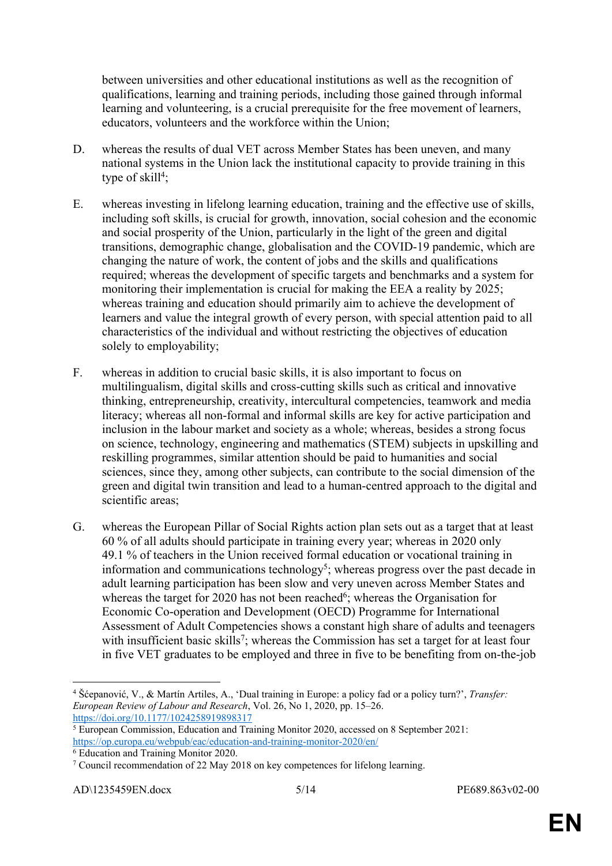between universities and other educational institutions as well as the recognition of qualifications, learning and training periods, including those gained through informal learning and volunteering, is a crucial prerequisite for the free movement of learners, educators, volunteers and the workforce within the Union;

- D. whereas the results of dual VET across Member States has been uneven, and many national systems in the Union lack the institutional capacity to provide training in this type of skill<sup>4</sup>;
- E. whereas investing in lifelong learning education, training and the effective use of skills, including soft skills, is crucial for growth, innovation, social cohesion and the economic and social prosperity of the Union, particularly in the light of the green and digital transitions, demographic change, globalisation and the COVID-19 pandemic, which are changing the nature of work, the content of jobs and the skills and qualifications required; whereas the development of specific targets and benchmarks and a system for monitoring their implementation is crucial for making the EEA a reality by 2025; whereas training and education should primarily aim to achieve the development of learners and value the integral growth of every person, with special attention paid to all characteristics of the individual and without restricting the objectives of education solely to employability;
- F. whereas in addition to crucial basic skills, it is also important to focus on multilingualism, digital skills and cross-cutting skills such as critical and innovative thinking, entrepreneurship, creativity, intercultural competencies, teamwork and media literacy; whereas all non-formal and informal skills are key for active participation and inclusion in the labour market and society as a whole; whereas, besides a strong focus on science, technology, engineering and mathematics (STEM) subjects in upskilling and reskilling programmes, similar attention should be paid to humanities and social sciences, since they, among other subjects, can contribute to the social dimension of the green and digital twin transition and lead to a human-centred approach to the digital and scientific areas;
- G. whereas the European Pillar of Social Rights action plan sets out as a target that at least 60 % of all adults should participate in training every year; whereas in 2020 only 49.1 % of teachers in the Union received formal education or vocational training in information and communications technology<sup>5</sup>; whereas progress over the past decade in adult learning participation has been slow and very uneven across Member States and whereas the target for 2020 has not been reached<sup>6</sup>; whereas the Organisation for Economic Co-operation and Development (OECD) Programme for International Assessment of Adult Competencies shows a constant high share of adults and teenagers with insufficient basic skills<sup>7</sup>; whereas the Commission has set a target for at least four in five VET graduates to be employed and three in five to be benefiting from on-the-job

<sup>4</sup> Šćepanović, V., & Martín Artiles, A., 'Dual training in Europe: a policy fad or a policy turn?', *Transfer: European Review of Labour and Research*, Vol. 26, No 1, 2020, pp. 15–26. <https://doi.org/10.1177/1024258919898317>

<sup>5</sup> European Commission, Education and Training Monitor 2020, accessed on 8 September 2021: <https://op.europa.eu/webpub/eac/education-and-training-monitor-2020/en/> 6 Education and Training Monitor 2020.

<sup>&</sup>lt;sup>7</sup> Council recommendation of 22 May 2018 on key competences for lifelong learning.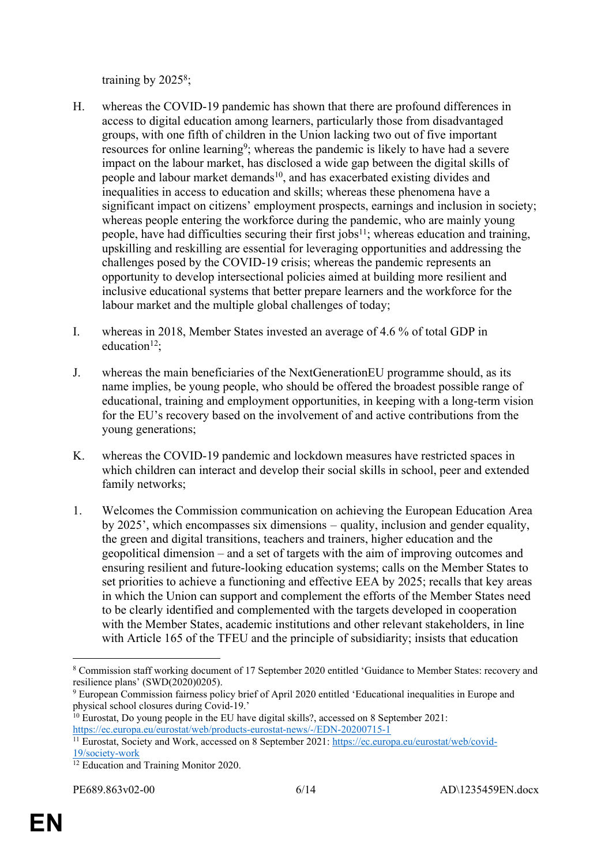training by 2025<sup>8</sup>;

- H. whereas the COVID-19 pandemic has shown that there are profound differences in access to digital education among learners, particularly those from disadvantaged groups, with one fifth of children in the Union lacking two out of five important resources for online learning<sup>9</sup>; whereas the pandemic is likely to have had a severe impact on the labour market, has disclosed a wide gap between the digital skills of people and labour market demands<sup>10</sup>, and has exacerbated existing divides and inequalities in access to education and skills; whereas these phenomena have a significant impact on citizens' employment prospects, earnings and inclusion in society; whereas people entering the workforce during the pandemic, who are mainly young people, have had difficulties securing their first jobs<sup>11</sup>; whereas education and training, upskilling and reskilling are essential for leveraging opportunities and addressing the challenges posed by the COVID-19 crisis; whereas the pandemic represents an opportunity to develop intersectional policies aimed at building more resilient and inclusive educational systems that better prepare learners and the workforce for the labour market and the multiple global challenges of today;
- I. whereas in 2018, Member States invested an average of 4.6 % of total GDP in education<sup>12</sup>:
- J. whereas the main beneficiaries of the NextGenerationEU programme should, as its name implies, be young people, who should be offered the broadest possible range of educational, training and employment opportunities, in keeping with a long-term vision for the EU's recovery based on the involvement of and active contributions from the young generations;
- K. whereas the COVID-19 pandemic and lockdown measures have restricted spaces in which children can interact and develop their social skills in school, peer and extended family networks;
- 1. Welcomes the Commission communication on achieving the European Education Area by 2025', which encompasses six dimensions – quality, inclusion and gender equality, the green and digital transitions, teachers and trainers, higher education and the geopolitical dimension – and a set of targets with the aim of improving outcomes and ensuring resilient and future-looking education systems; calls on the Member States to set priorities to achieve a functioning and effective EEA by 2025; recalls that key areas in which the Union can support and complement the efforts of the Member States need to be clearly identified and complemented with the targets developed in cooperation with the Member States, academic institutions and other relevant stakeholders, in line with Article 165 of the TFEU and the principle of subsidiarity; insists that education

<sup>8</sup> Commission staff working document of 17 September 2020 entitled 'Guidance to Member States: recovery and resilience plans' (SWD(2020)0205).

<sup>9</sup> European Commission fairness policy brief of April 2020 entitled 'Educational inequalities in Europe and physical school closures during Covid-19.'

<sup>&</sup>lt;sup>10</sup> Eurostat, Do young people in the EU have digital skills?, accessed on 8 September 2021: <https://ec.europa.eu/eurostat/web/products-eurostat-news/-/EDN-20200715-1>

<sup>11</sup> Eurostat, Society and Work, accessed on 8 September 2021: [https://ec.europa.eu/eurostat/web/covid-](https://ec.europa.eu/eurostat/web/covid-19/society-work)[19/society-work](https://ec.europa.eu/eurostat/web/covid-19/society-work)

<sup>12</sup> Education and Training Monitor 2020.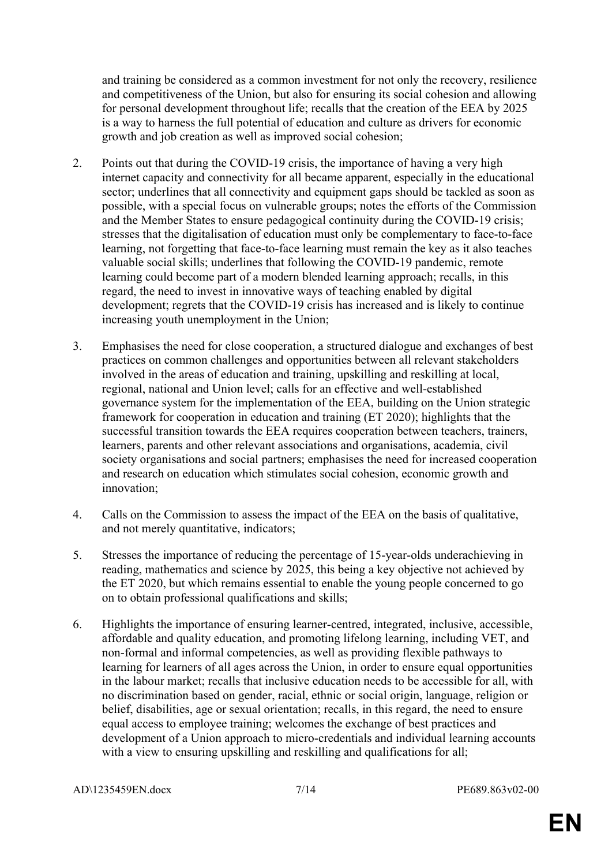and training be considered as a common investment for not only the recovery, resilience and competitiveness of the Union, but also for ensuring its social cohesion and allowing for personal development throughout life; recalls that the creation of the EEA by 2025 is a way to harness the full potential of education and culture as drivers for economic growth and job creation as well as improved social cohesion;

- 2. Points out that during the COVID-19 crisis, the importance of having a very high internet capacity and connectivity for all became apparent, especially in the educational sector; underlines that all connectivity and equipment gaps should be tackled as soon as possible, with a special focus on vulnerable groups; notes the efforts of the Commission and the Member States to ensure pedagogical continuity during the COVID-19 crisis; stresses that the digitalisation of education must only be complementary to face-to-face learning, not forgetting that face-to-face learning must remain the key as it also teaches valuable social skills; underlines that following the COVID-19 pandemic, remote learning could become part of a modern blended learning approach; recalls, in this regard, the need to invest in innovative ways of teaching enabled by digital development; regrets that the COVID-19 crisis has increased and is likely to continue increasing youth unemployment in the Union;
- 3. Emphasises the need for close cooperation, a structured dialogue and exchanges of best practices on common challenges and opportunities between all relevant stakeholders involved in the areas of education and training, upskilling and reskilling at local, regional, national and Union level; calls for an effective and well-established governance system for the implementation of the EEA, building on the Union strategic framework for cooperation in education and training (ET 2020); highlights that the successful transition towards the EEA requires cooperation between teachers, trainers, learners, parents and other relevant associations and organisations, academia, civil society organisations and social partners; emphasises the need for increased cooperation and research on education which stimulates social cohesion, economic growth and innovation;
- 4. Calls on the Commission to assess the impact of the EEA on the basis of qualitative, and not merely quantitative, indicators;
- 5. Stresses the importance of reducing the percentage of 15-year-olds underachieving in reading, mathematics and science by 2025, this being a key objective not achieved by the ET 2020, but which remains essential to enable the young people concerned to go on to obtain professional qualifications and skills;
- 6. Highlights the importance of ensuring learner-centred, integrated, inclusive, accessible, affordable and quality education, and promoting lifelong learning, including VET, and non-formal and informal competencies, as well as providing flexible pathways to learning for learners of all ages across the Union, in order to ensure equal opportunities in the labour market; recalls that inclusive education needs to be accessible for all, with no discrimination based on gender, racial, ethnic or social origin, language, religion or belief, disabilities, age or sexual orientation; recalls, in this regard, the need to ensure equal access to employee training; welcomes the exchange of best practices and development of a Union approach to micro-credentials and individual learning accounts with a view to ensuring upskilling and reskilling and qualifications for all;

AD\1235459EN.docx 7/14 PE689.863v02-00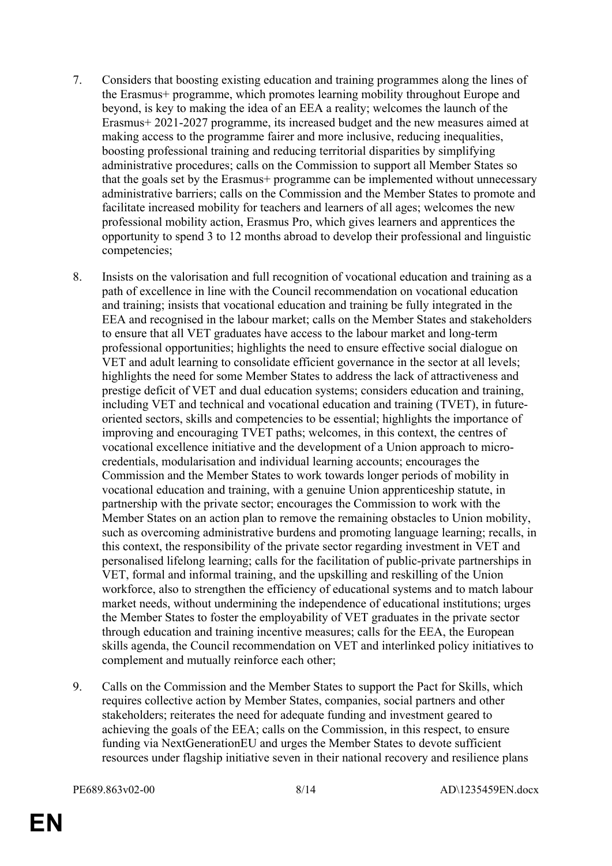- 7. Considers that boosting existing education and training programmes along the lines of the Erasmus+ programme, which promotes learning mobility throughout Europe and beyond, is key to making the idea of an EEA a reality; welcomes the launch of the Erasmus+ 2021-2027 programme, its increased budget and the new measures aimed at making access to the programme fairer and more inclusive, reducing inequalities, boosting professional training and reducing territorial disparities by simplifying administrative procedures; calls on the Commission to support all Member States so that the goals set by the Erasmus+ programme can be implemented without unnecessary administrative barriers; calls on the Commission and the Member States to promote and facilitate increased mobility for teachers and learners of all ages; welcomes the new professional mobility action, Erasmus Pro, which gives learners and apprentices the opportunity to spend 3 to 12 months abroad to develop their professional and linguistic competencies;
- 8. Insists on the valorisation and full recognition of vocational education and training as a path of excellence in line with the Council recommendation on vocational education and training; insists that vocational education and training be fully integrated in the EEA and recognised in the labour market; calls on the Member States and stakeholders to ensure that all VET graduates have access to the labour market and long-term professional opportunities; highlights the need to ensure effective social dialogue on VET and adult learning to consolidate efficient governance in the sector at all levels; highlights the need for some Member States to address the lack of attractiveness and prestige deficit of VET and dual education systems; considers education and training, including VET and technical and vocational education and training (TVET), in futureoriented sectors, skills and competencies to be essential; highlights the importance of improving and encouraging TVET paths; welcomes, in this context, the centres of vocational excellence initiative and the development of a Union approach to microcredentials, modularisation and individual learning accounts; encourages the Commission and the Member States to work towards longer periods of mobility in vocational education and training, with a genuine Union apprenticeship statute, in partnership with the private sector; encourages the Commission to work with the Member States on an action plan to remove the remaining obstacles to Union mobility, such as overcoming administrative burdens and promoting language learning; recalls, in this context, the responsibility of the private sector regarding investment in VET and personalised lifelong learning; calls for the facilitation of public-private partnerships in VET, formal and informal training, and the upskilling and reskilling of the Union workforce, also to strengthen the efficiency of educational systems and to match labour market needs, without undermining the independence of educational institutions; urges the Member States to foster the employability of VET graduates in the private sector through education and training incentive measures; calls for the EEA, the European skills agenda, the Council recommendation on VET and interlinked policy initiatives to complement and mutually reinforce each other;
- 9. Calls on the Commission and the Member States to support the Pact for Skills, which requires collective action by Member States, companies, social partners and other stakeholders; reiterates the need for adequate funding and investment geared to achieving the goals of the EEA; calls on the Commission, in this respect, to ensure funding via NextGenerationEU and urges the Member States to devote sufficient resources under flagship initiative seven in their national recovery and resilience plans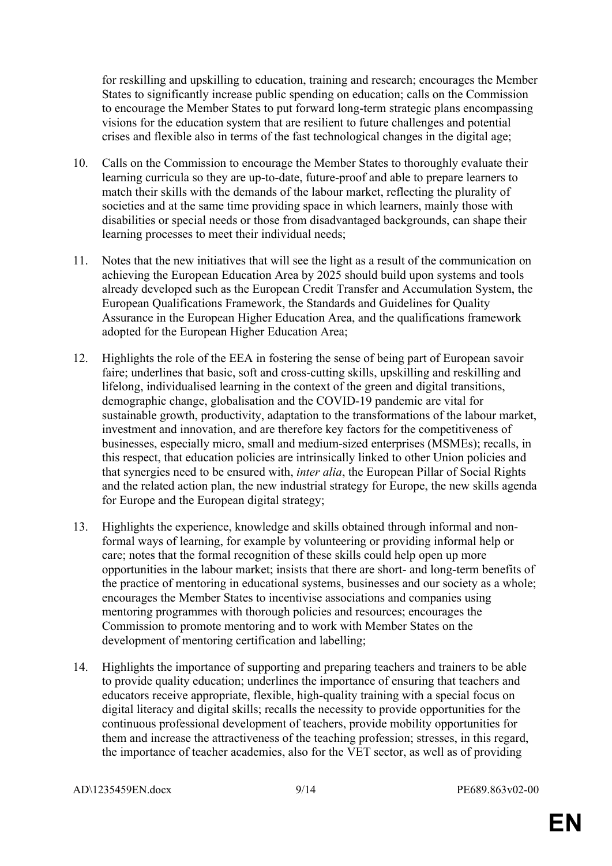for reskilling and upskilling to education, training and research; encourages the Member States to significantly increase public spending on education; calls on the Commission to encourage the Member States to put forward long-term strategic plans encompassing visions for the education system that are resilient to future challenges and potential crises and flexible also in terms of the fast technological changes in the digital age;

- 10. Calls on the Commission to encourage the Member States to thoroughly evaluate their learning curricula so they are up-to-date, future-proof and able to prepare learners to match their skills with the demands of the labour market, reflecting the plurality of societies and at the same time providing space in which learners, mainly those with disabilities or special needs or those from disadvantaged backgrounds, can shape their learning processes to meet their individual needs;
- 11. Notes that the new initiatives that will see the light as a result of the communication on achieving the European Education Area by 2025 should build upon systems and tools already developed such as the European Credit Transfer and Accumulation System, the European Qualifications Framework, the Standards and Guidelines for Quality Assurance in the European Higher Education Area, and the qualifications framework adopted for the European Higher Education Area;
- 12. Highlights the role of the EEA in fostering the sense of being part of European savoir faire; underlines that basic, soft and cross-cutting skills, upskilling and reskilling and lifelong, individualised learning in the context of the green and digital transitions, demographic change, globalisation and the COVID-19 pandemic are vital for sustainable growth, productivity, adaptation to the transformations of the labour market, investment and innovation, and are therefore key factors for the competitiveness of businesses, especially micro, small and medium-sized enterprises (MSMEs); recalls, in this respect, that education policies are intrinsically linked to other Union policies and that synergies need to be ensured with, *inter alia*, the European Pillar of Social Rights and the related action plan, the new industrial strategy for Europe, the new skills agenda for Europe and the European digital strategy;
- 13. Highlights the experience, knowledge and skills obtained through informal and nonformal ways of learning, for example by volunteering or providing informal help or care; notes that the formal recognition of these skills could help open up more opportunities in the labour market; insists that there are short- and long-term benefits of the practice of mentoring in educational systems, businesses and our society as a whole; encourages the Member States to incentivise associations and companies using mentoring programmes with thorough policies and resources; encourages the Commission to promote mentoring and to work with Member States on the development of mentoring certification and labelling;
- 14. Highlights the importance of supporting and preparing teachers and trainers to be able to provide quality education; underlines the importance of ensuring that teachers and educators receive appropriate, flexible, high-quality training with a special focus on digital literacy and digital skills; recalls the necessity to provide opportunities for the continuous professional development of teachers, provide mobility opportunities for them and increase the attractiveness of the teaching profession; stresses, in this regard, the importance of teacher academies, also for the VET sector, as well as of providing

AD\1235459EN.docx 9/14 PE689.863v02-00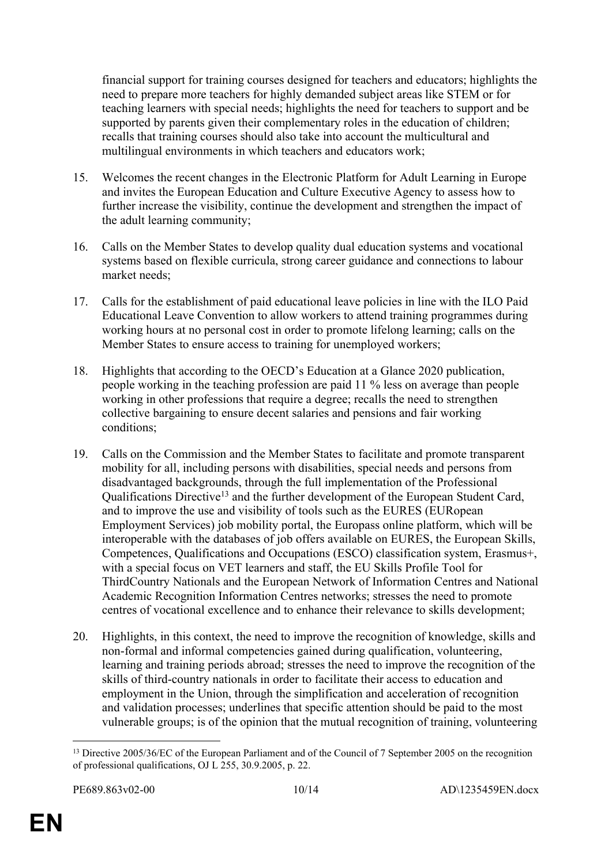financial support for training courses designed for teachers and educators; highlights the need to prepare more teachers for highly demanded subject areas like STEM or for teaching learners with special needs; highlights the need for teachers to support and be supported by parents given their complementary roles in the education of children; recalls that training courses should also take into account the multicultural and multilingual environments in which teachers and educators work;

- 15. Welcomes the recent changes in the Electronic Platform for Adult Learning in Europe and invites the European Education and Culture Executive Agency to assess how to further increase the visibility, continue the development and strengthen the impact of the adult learning community;
- 16. Calls on the Member States to develop quality dual education systems and vocational systems based on flexible curricula, strong career guidance and connections to labour market needs;
- 17. Calls for the establishment of paid educational leave policies in line with the ILO Paid Educational Leave Convention to allow workers to attend training programmes during working hours at no personal cost in order to promote lifelong learning; calls on the Member States to ensure access to training for unemployed workers;
- 18. Highlights that according to the OECD's Education at a Glance 2020 publication, people working in the teaching profession are paid 11 % less on average than people working in other professions that require a degree; recalls the need to strengthen collective bargaining to ensure decent salaries and pensions and fair working conditions;
- 19. Calls on the Commission and the Member States to facilitate and promote transparent mobility for all, including persons with disabilities, special needs and persons from disadvantaged backgrounds, through the full implementation of the Professional Qualifications Directive<sup>13</sup> and the further development of the European Student Card, and to improve the use and visibility of tools such as the EURES (EURopean Employment Services) job mobility portal, the Europass online platform, which will be interoperable with the databases of job offers available on EURES, the European Skills, Competences, Qualifications and Occupations (ESCO) classification system, Erasmus+, with a special focus on VET learners and staff, the EU Skills Profile Tool for ThirdCountry Nationals and the European Network of Information Centres and National Academic Recognition Information Centres networks; stresses the need to promote centres of vocational excellence and to enhance their relevance to skills development;
- 20. Highlights, in this context, the need to improve the recognition of knowledge, skills and non-formal and informal competencies gained during qualification, volunteering, learning and training periods abroad; stresses the need to improve the recognition of the skills of third-country nationals in order to facilitate their access to education and employment in the Union, through the simplification and acceleration of recognition and validation processes; underlines that specific attention should be paid to the most vulnerable groups; is of the opinion that the mutual recognition of training, volunteering

<sup>&</sup>lt;sup>13</sup> Directive 2005/36/EC of the European Parliament and of the Council of 7 September 2005 on the recognition of professional qualifications, OJ L 255, 30.9.2005, p. 22.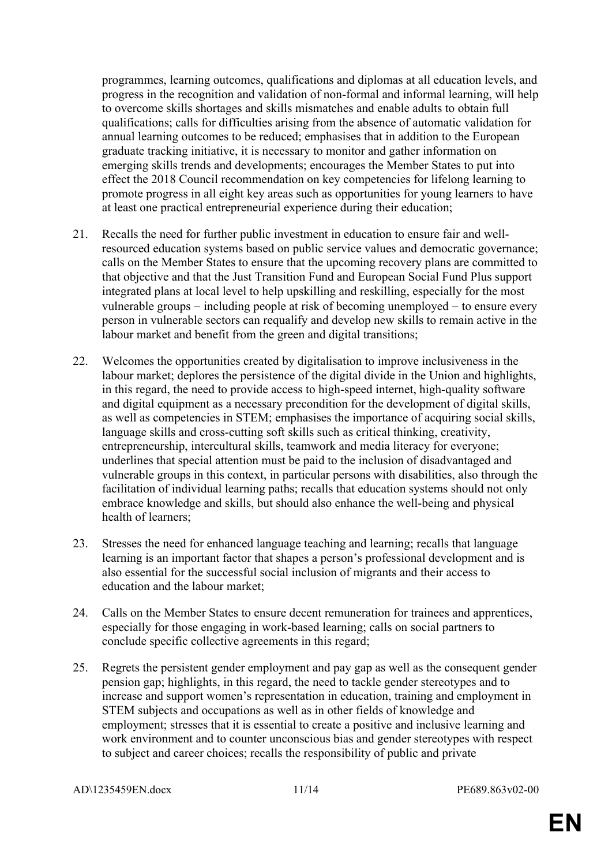programmes, learning outcomes, qualifications and diplomas at all education levels, and progress in the recognition and validation of non-formal and informal learning, will help to overcome skills shortages and skills mismatches and enable adults to obtain full qualifications; calls for difficulties arising from the absence of automatic validation for annual learning outcomes to be reduced; emphasises that in addition to the European graduate tracking initiative, it is necessary to monitor and gather information on emerging skills trends and developments; encourages the Member States to put into effect the 2018 Council recommendation on key competencies for lifelong learning to promote progress in all eight key areas such as opportunities for young learners to have at least one practical entrepreneurial experience during their education;

- 21. Recalls the need for further public investment in education to ensure fair and wellresourced education systems based on public service values and democratic governance; calls on the Member States to ensure that the upcoming recovery plans are committed to that objective and that the Just Transition Fund and European Social Fund Plus support integrated plans at local level to help upskilling and reskilling, especially for the most vulnerable groups  $-$  including people at risk of becoming unemployed  $-$  to ensure every person in vulnerable sectors can requalify and develop new skills to remain active in the labour market and benefit from the green and digital transitions;
- 22. Welcomes the opportunities created by digitalisation to improve inclusiveness in the labour market; deplores the persistence of the digital divide in the Union and highlights, in this regard, the need to provide access to high-speed internet, high-quality software and digital equipment as a necessary precondition for the development of digital skills, as well as competencies in STEM; emphasises the importance of acquiring social skills, language skills and cross-cutting soft skills such as critical thinking, creativity, entrepreneurship, intercultural skills, teamwork and media literacy for everyone; underlines that special attention must be paid to the inclusion of disadvantaged and vulnerable groups in this context, in particular persons with disabilities, also through the facilitation of individual learning paths; recalls that education systems should not only embrace knowledge and skills, but should also enhance the well-being and physical health of learners;
- 23. Stresses the need for enhanced language teaching and learning; recalls that language learning is an important factor that shapes a person's professional development and is also essential for the successful social inclusion of migrants and their access to education and the labour market:
- 24. Calls on the Member States to ensure decent remuneration for trainees and apprentices, especially for those engaging in work-based learning; calls on social partners to conclude specific collective agreements in this regard;
- 25. Regrets the persistent gender employment and pay gap as well as the consequent gender pension gap; highlights, in this regard, the need to tackle gender stereotypes and to increase and support women's representation in education, training and employment in STEM subjects and occupations as well as in other fields of knowledge and employment; stresses that it is essential to create a positive and inclusive learning and work environment and to counter unconscious bias and gender stereotypes with respect to subject and career choices; recalls the responsibility of public and private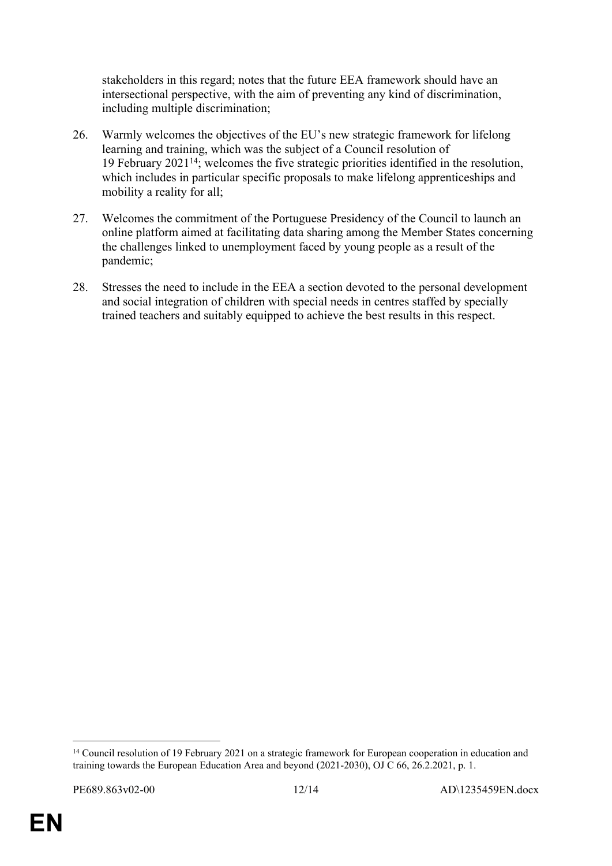stakeholders in this regard; notes that the future EEA framework should have an intersectional perspective, with the aim of preventing any kind of discrimination, including multiple discrimination;

- 26. Warmly welcomes the objectives of the EU's new strategic framework for lifelong learning and training, which was the subject of a Council resolution of 19 February 2021<sup>14</sup>; welcomes the five strategic priorities identified in the resolution, which includes in particular specific proposals to make lifelong apprenticeships and mobility a reality for all;
- 27. Welcomes the commitment of the Portuguese Presidency of the Council to launch an online platform aimed at facilitating data sharing among the Member States concerning the challenges linked to unemployment faced by young people as a result of the pandemic;
- 28. Stresses the need to include in the EEA a section devoted to the personal development and social integration of children with special needs in centres staffed by specially trained teachers and suitably equipped to achieve the best results in this respect.

<sup>&</sup>lt;sup>14</sup> Council resolution of 19 February 2021 on a strategic framework for European cooperation in education and training towards the European Education Area and beyond (2021-2030), OJ C 66, 26.2.2021, p. 1.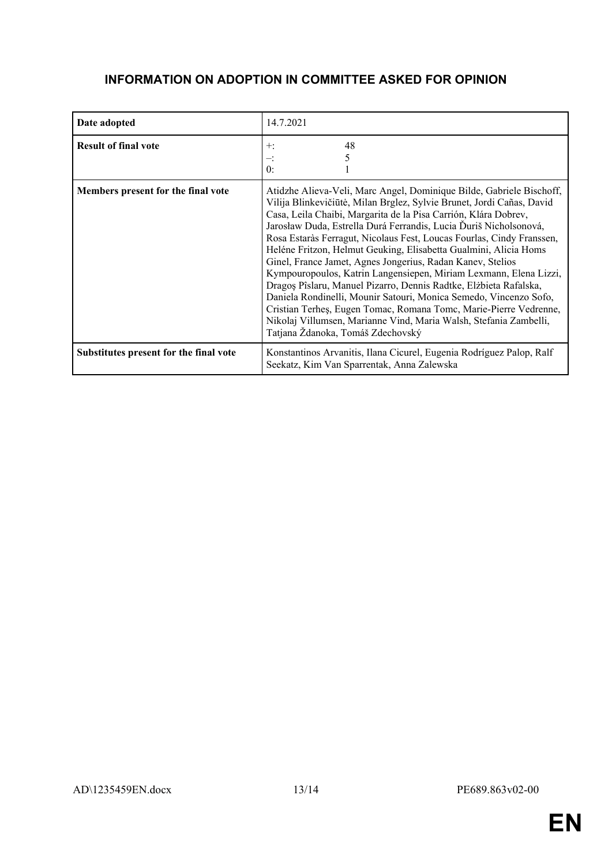### **INFORMATION ON ADOPTION IN COMMITTEE ASKED FOR OPINION**

| Date adopted                           | 14.7.2021                                                                                                                                                                                                                                                                                                                                                                                                                                                                                                                                                                                                                                                                                                                                                                                                                                                                                      |
|----------------------------------------|------------------------------------------------------------------------------------------------------------------------------------------------------------------------------------------------------------------------------------------------------------------------------------------------------------------------------------------------------------------------------------------------------------------------------------------------------------------------------------------------------------------------------------------------------------------------------------------------------------------------------------------------------------------------------------------------------------------------------------------------------------------------------------------------------------------------------------------------------------------------------------------------|
| <b>Result of final vote</b>            | 48<br>$+:$<br>0:                                                                                                                                                                                                                                                                                                                                                                                                                                                                                                                                                                                                                                                                                                                                                                                                                                                                               |
| Members present for the final vote     | Atidzhe Alieva-Veli, Marc Angel, Dominique Bilde, Gabriele Bischoff,<br>Vilija Blinkevičiūtė, Milan Brglez, Sylvie Brunet, Jordi Cañas, David<br>Casa, Leila Chaibi, Margarita de la Pisa Carrión, Klára Dobrev,<br>Jarosław Duda, Estrella Durá Ferrandis, Lucia Ďuriš Nicholsonová,<br>Rosa Estaràs Ferragut, Nicolaus Fest, Loucas Fourlas, Cindy Franssen,<br>Heléne Fritzon, Helmut Geuking, Elisabetta Gualmini, Alicia Homs<br>Ginel, France Jamet, Agnes Jongerius, Radan Kanev, Stelios<br>Kympouropoulos, Katrin Langensiepen, Miriam Lexmann, Elena Lizzi,<br>Dragos Pîslaru, Manuel Pizarro, Dennis Radtke, Elżbieta Rafalska,<br>Daniela Rondinelli, Mounir Satouri, Monica Semedo, Vincenzo Sofo,<br>Cristian Terheş, Eugen Tomac, Romana Tomc, Marie-Pierre Vedrenne,<br>Nikolaj Villumsen, Marianne Vind, Maria Walsh, Stefania Zambelli,<br>Tatjana Ždanoka, Tomáš Zdechovský |
| Substitutes present for the final vote | Konstantinos Arvanitis, Ilana Cicurel, Eugenia Rodríguez Palop, Ralf<br>Seekatz, Kim Van Sparrentak, Anna Zalewska                                                                                                                                                                                                                                                                                                                                                                                                                                                                                                                                                                                                                                                                                                                                                                             |